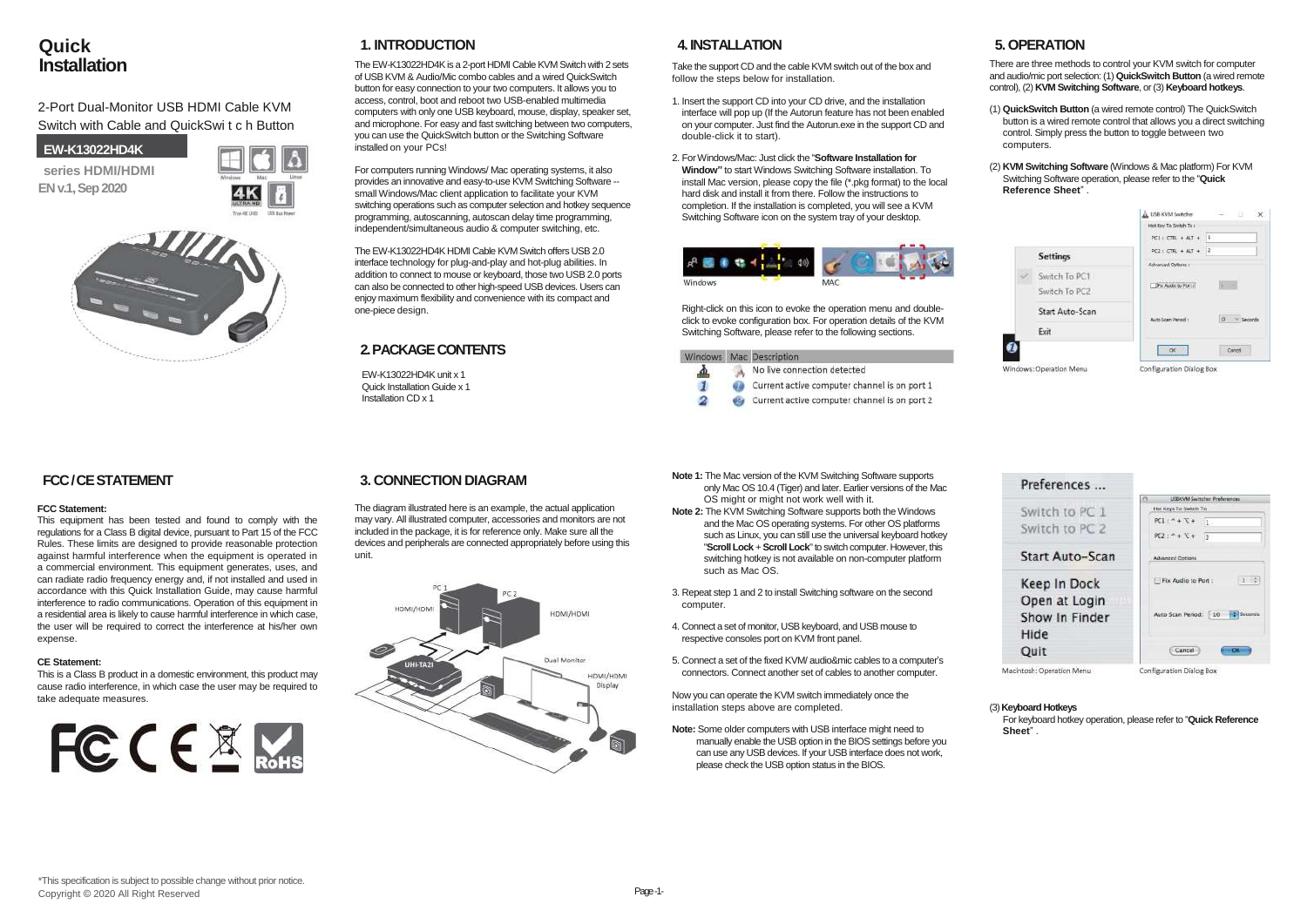# **Quick Installation**

## 2-Port Dual-Monitor USB HDMI Cable KVM Switch with Cable and QuickSwi t c h Button

**EW-K13022HD4K**

**series HDMI/HDMI EN v.1, Sep 2020**





# **1. INTRODUCTION**

The EW-K13022HD4Kis a 2-port HDMI Cable KVM Switch with 2 sets of USB KVM & Audio/Mic combo cables and a wired QuickSwitch button for easy connection to your two computers. It allows you to access, control, boot and reboot two USB-enabled multimedia computers with only one USB keyboard, mouse, display, speaker set, and microphone. For easy and fast switching between two computers, you can use the QuickSwitch button or the Switching Software installed on your PCs!

For computers running Windows/ Mac operating systems, it also provides an innovative and easy-to-use KVM Switching Software - small Windows/Mac client application to facilitate your KVM switching operations such as computer selection and hotkey sequence programming, autoscanning, autoscan delay time programming, independent/simultaneous audio & computer switching, etc.

The EW-K13022HD4K HDMI Cable KVM Switch offers USB 2.0 interface technology for plug-and-play and hot-plug abilities. In addition to connect to mouse or keyboard, those two USB 2.0 ports can also be connected to other high-speed USB devices. Users can enjoy maximum flexibility and convenience with its compact and one-piece design.

## **2. PACKAGE CONTENTS**

EW-K13022HD4K unit x 1 Quick Installation Guide x 1 Installation CD x 1

### **4. INSTALLATION**

Take the support CD and the cable KVM switch out of the box and follow the steps below for installation.

- 1. Insert the support CD into your CD drive, and the installation interface will pop up (If the Autorun feature has not been enabled on your computer. Just find the Autorun.exe in the support CD and double-click it to start).
- 2. For Windows/Mac: Just click the "**Software Installation for Window"** to start Windows Switching Software installation. To install Mac version, please copy the file (\*.pkg format) to the local hard disk and install it from there. Follow the instructions to completion. If the installation is completed, you will see a KVM Switching Software icon on the system tray of your desktop.



Right-click on this icon to evoke the operation menu and doubleclick to evoke configuration box. For operation details of the KVM Switching Software, please refer to the following sections.

|  | Windows Mac Description                      |
|--|----------------------------------------------|
|  | No live connection detected                  |
|  | Current active computer channel is on port 1 |
|  | Current active computer channel is on port 2 |

# **5. OPERATION**

There are three methods to control your KVM switch for computer and audio/mic port selection: (1) **QuickSwitch Button** (a wired remote control), (2) **KVM Switching Software**, or (3) **Keyboard hotkeys**.

- (1) **QuickSwitch Button** (a wired remote control) The QuickSwitch button is a wired remote control that allows you a direct switching control. Simply press the button to toggle between two computers.
- (2) **KVM Switching Software** (Windows & Mac platform) For KVM Switching Software operation, please refer to the "**Quick Reference Sheet**" .

|  |                         | di 158-KVM Switcher.        | $\times$<br>11       |  |  |  |
|--|-------------------------|-----------------------------|----------------------|--|--|--|
|  |                         | Hot Kay To Switch To :      |                      |  |  |  |
|  |                         | $PCL \subset CIR. + AIT. +$ | E.                   |  |  |  |
|  | <b>Settings</b>         | $PC2 + CTR + ATP + 2$       |                      |  |  |  |
|  |                         | Advanced Options :          |                      |  |  |  |
|  | Switch To PC1           |                             |                      |  |  |  |
|  | Switch To PC2           | Fa Audio to Port of         |                      |  |  |  |
|  | Start Auto-Scan         | Auto Scan Paned :           | <b>DX</b><br>Seconds |  |  |  |
|  | Exit                    |                             |                      |  |  |  |
|  |                         | $\alpha$                    | Cancel               |  |  |  |
|  | Windows: Operation Menu | Configuration Dialog Box    |                      |  |  |  |



# **FCC / CE STATEMENT**

### **FCC Statement:**

This equipment has been tested and found to comply with the regulations for a Class B digital device, pursuant to Part 15 of the FCC Rules. These limits are designed to provide reasonable protection against harmful interference when the equipment is operated in a commercial environment. This equipment generates, uses, and can radiate radio frequency energy and, if not installed and used in accordance with this Quick Installation Guide, may cause harmful interference to radio communications. Operation of this equipment in a residential area is likely to cause harmful interference in which case, the user will be required to correct the interference at his/her own expense.

### **CE Statement:**

This is a Class B product in a domestic environment, this product may cause radio interference, in which case the user may be required to take adequate measures.



## **3. CONNECTION DIAGRAM**

The diagram illustrated here is an example, the actual application may vary. All illustrated computer, accessories and monitors are not included in the package, it is for reference only. Make sure all the devices and peripherals are connected appropriately before using this unit.



- **Note 1:** The Mac version of the KVM Switching Software supports only Mac OS 10.4 (Tiger) and later. Earlier versions of the Mac OS might or might not work well with it.
- **Note 2:** The KVM Switching Software supports both the Windows and the Mac OS operating systems. For other OS platforms such as Linux, you can still use the universal keyboard hotkey "**Scroll Lock** + **Scroll Lock**" to switch computer. However, this switching hotkey is not available on non-computer platform such as Mac OS.
- 3. Repeat step 1 and 2 to install Switching software on the second computer.
- 4. Connect a set of monitor, USB keyboard, and USB mouse to respective consoles port on KVM front panel.
- 5. Connect a set of the fixed KVM/ audio&mic cables to a computer's connectors. Connect another set of cables to another computer.

Now you can operate the KVM switch immediately once the installation steps above are completed.

**Note:** Some older computers with USB interface might need to manually enable the USB option in the BIOS settings before you can use any USB devices. If your USB interface does not work, please check the USB option status in the BIOS.

### (3) **Keyboard Hotkeys**

For keyboard hotkey operation, please refer to "**Quick Reference Sheet**" .